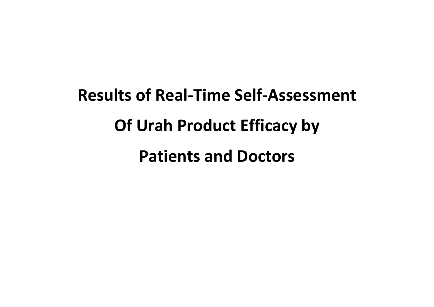# **Results of Real-Time Self-Assessment Of Urah Product Efficacy by Patients and Doctors**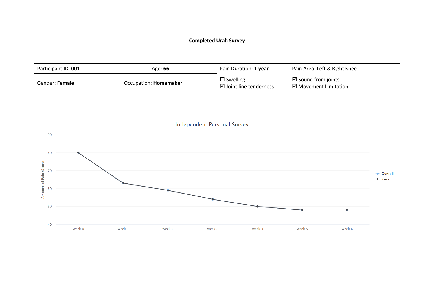| Participant ID: 001 |  | Age: 66                      | Pain Duration: 1 year                                   | Pain Area: Left & Right Knee                           |
|---------------------|--|------------------------------|---------------------------------------------------------|--------------------------------------------------------|
| Gender: Female      |  | Occupation: <b>Homemaker</b> | $\square$ Swelling<br>$\boxtimes$ Joint line tenderness | $\boxtimes$ Sound from joints<br>⊠ Movement Limitation |

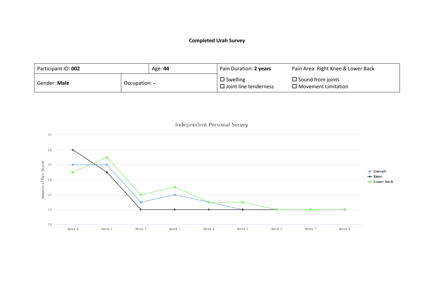

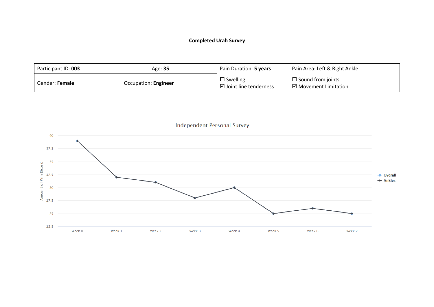| Participant ID: 003 | Age: 35              | Pain Duration: 5 years                                  | Pain Area: Left & Right Ankle                     |
|---------------------|----------------------|---------------------------------------------------------|---------------------------------------------------|
| Gender: Female      | Occupation: Engineer | $\square$ Swelling<br>$\boxtimes$ Joint line tenderness | $\Box$ Sound from joints<br>⊠ Movement Limitation |

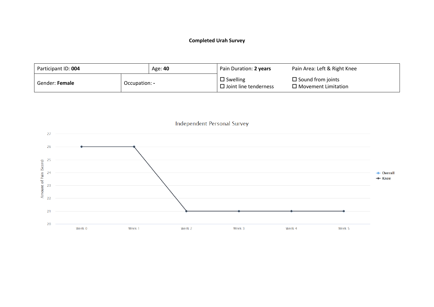

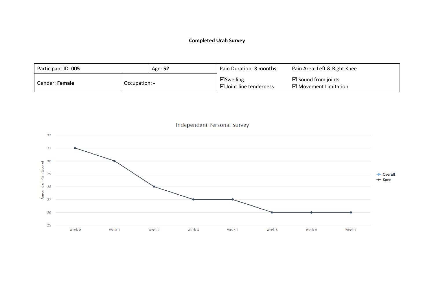| Participant ID: 005   |               | Age: 52 | Pain Duration: <b>3 months</b>       | Pain Area: Left & Right Knee                           |
|-----------------------|---------------|---------|--------------------------------------|--------------------------------------------------------|
| Gender: <b>Female</b> | Occupation: - |         | ⊠Swelling<br>⊠ Joint line tenderness | $\boxtimes$ Sound from joints<br>⊠ Movement Limitation |

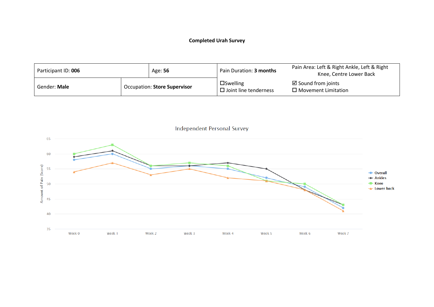| Participant ID: 006 |  | Age: 56                      | Pain Duration: 3 months                            | Pain Area: Left & Right Ankle, Left & Right<br>Knee, Centre Lower Back |
|---------------------|--|------------------------------|----------------------------------------------------|------------------------------------------------------------------------|
| Gender: Male        |  | Occupation: Store Supervisor | $\square$ Swelling<br>$\Box$ Joint line tenderness | $\boxtimes$ Sound from joints<br>$\Box$ Movement Limitation            |

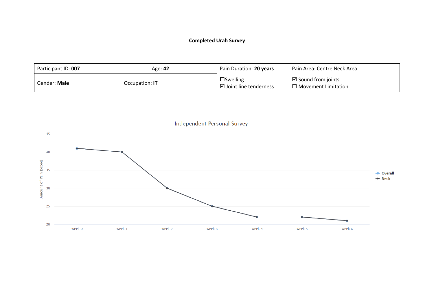

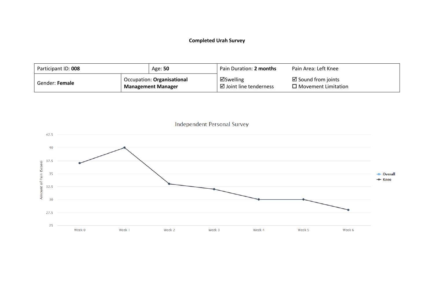| Participant ID: 008 |  | Age: 50                                                       | Pain Duration: 2 months                        | Pain Area: Left Knee                                        |
|---------------------|--|---------------------------------------------------------------|------------------------------------------------|-------------------------------------------------------------|
| Gender: Female      |  | <b>Compation: Organisational</b><br><b>Management Manager</b> | ⊠Swelling<br>$\boxtimes$ Joint line tenderness | $\boxtimes$ Sound from joints<br>$\Box$ Movement Limitation |

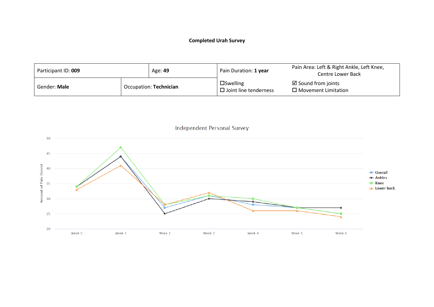

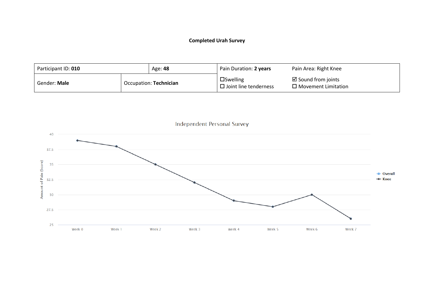| Participant ID: 010 |  | Age: 48                | Pain Duration: 2 years                             | Pain Area: Right Knee                                       |
|---------------------|--|------------------------|----------------------------------------------------|-------------------------------------------------------------|
| Gender: <b>Male</b> |  | Occupation: Technician | $\square$ Swelling<br>$\Box$ Joint line tenderness | $\boxtimes$ Sound from joints<br>$\Box$ Movement Limitation |

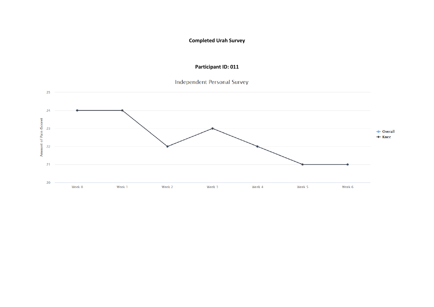## **Participant ID: 011**



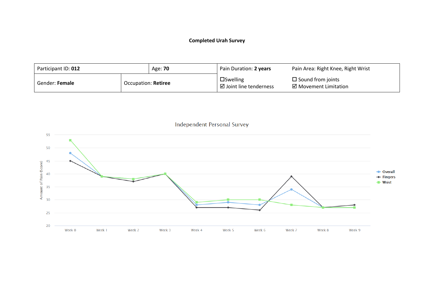| Participant ID: 012 |                     | Age: <b>70</b> | Pain Duration: 2 years                                | Pain Area: Right Knee, Right Wrist                             |
|---------------------|---------------------|----------------|-------------------------------------------------------|----------------------------------------------------------------|
| Gender: Female      | Occupation: Retiree |                | $\square$ Swelling<br>$\boxdot$ Joint line tenderness | $\square$ Sound from joints<br>$\boxtimes$ Movement Limitation |

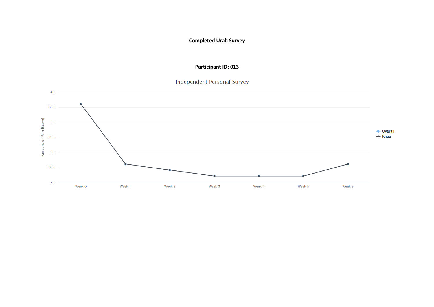## **Participant ID: 013**

# **Independent Personal Survey**

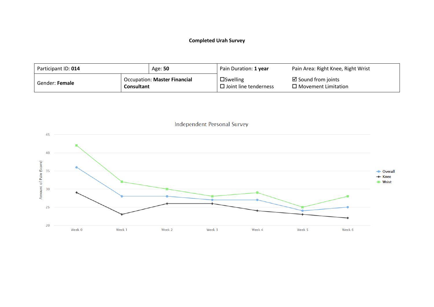| Participant ID: 014 |                   | Age: 50                             | Pain Duration: 1 year                                 | Pain Area: Right Knee, Right Wrist                          |
|---------------------|-------------------|-------------------------------------|-------------------------------------------------------|-------------------------------------------------------------|
| Gender: Female      | <b>Consultant</b> | <b>Occupation: Master Financial</b> | $\square$ Swelling<br>$\square$ Joint line tenderness | $\boxtimes$ Sound from joints<br>$\Box$ Movement Limitation |

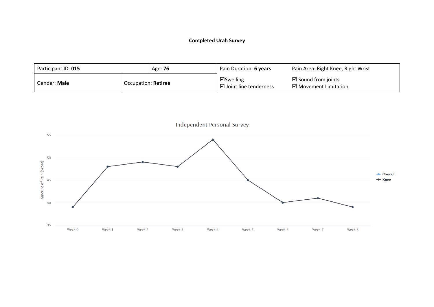| Participant ID: 015 |                     | Age: 76 | Pain Duration: 6 years               | Pain Area: Right Knee, Right Wrist                               |
|---------------------|---------------------|---------|--------------------------------------|------------------------------------------------------------------|
| Gender: Male        | Occupation: Retiree |         | ⊠Swelling<br>⊠ Joint line tenderness | $\boxtimes$ Sound from joints<br>$\boxtimes$ Movement Limitation |

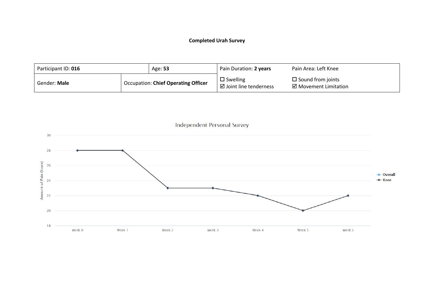| Participant ID: 016 | Age: 53                                    | Pain Duration: 2 years                     | Pain Area: Left Knee                              |
|---------------------|--------------------------------------------|--------------------------------------------|---------------------------------------------------|
| Gender: Male        | <b>Occupation: Chief Operating Officer</b> | $\Box$ Swelling<br>⊠ Joint line tenderness | $\Box$ Sound from joints<br>⊠ Movement Limitation |

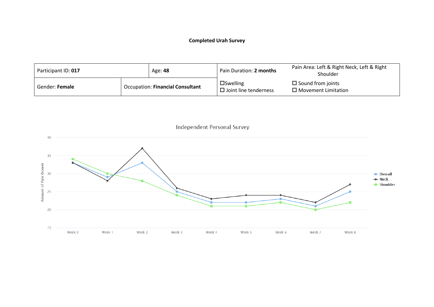| Participant ID: 017 |  | Age: 48                                 | Pain Duration: 2 months                            | Pain Area: Left & Right Neck, Left & Right<br>Shoulder |
|---------------------|--|-----------------------------------------|----------------------------------------------------|--------------------------------------------------------|
| Gender: Female      |  | <b>Occupation: Financial Consultant</b> | $\square$ Swelling<br>$\Box$ Joint line tenderness | $\Box$ Sound from joints<br>$\Box$ Movement Limitation |

**Independent Personal Survey** 40 35 Amount of Pain (Score)  $30$ - Overall  $+$  Neck - Shoulder 25 20  $15$ Week 0 Week 1 Week 2 Week 3 Week 4 Week 5 Week 6 Week 7 Week 8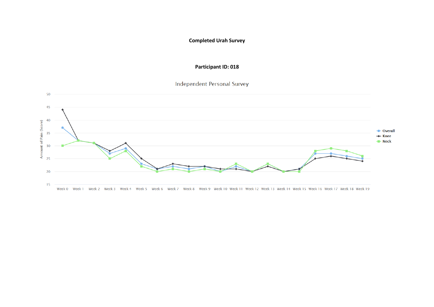#### **Participant ID: 018**

Independent Personal Survey